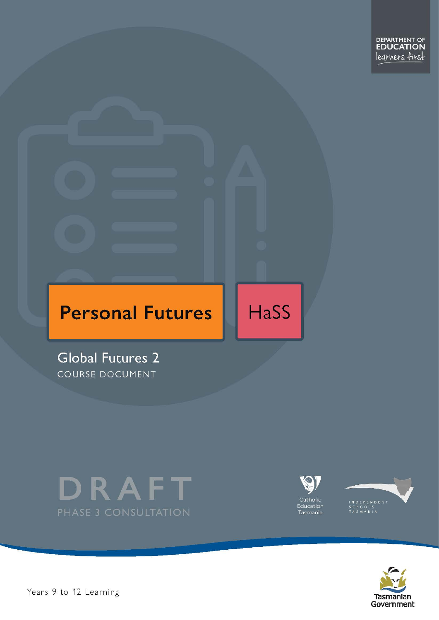# **Personal Futures**

HaSS

**Global Futures 2** COURSE DOCUMENT









Years 9 to 12 Learning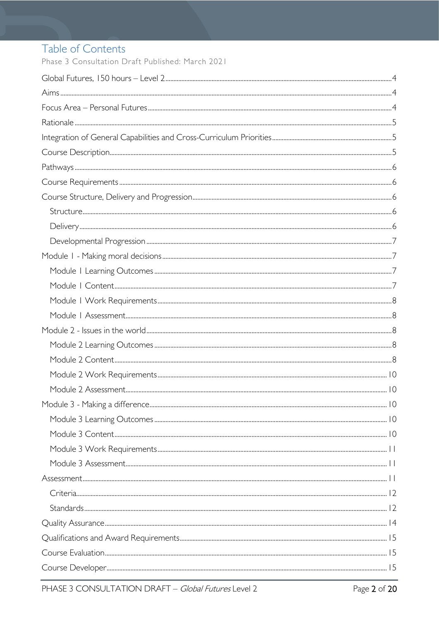# Table of Contents

Phase 3 Consultation Draft Published: March 2021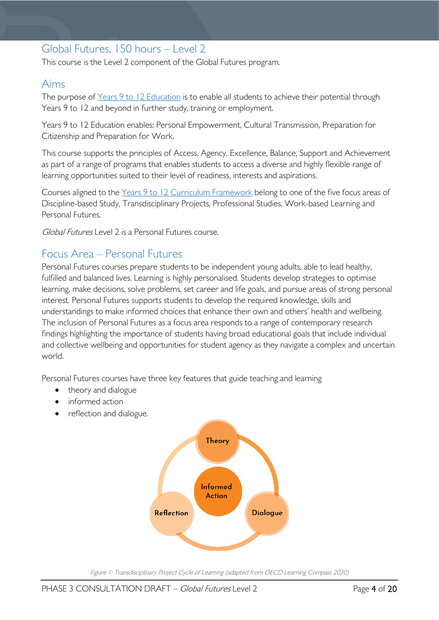# <span id="page-3-0"></span>Global Futures, 150 hours – Level 2

This course is the Level 2 component of the Global Futures program.

### <span id="page-3-1"></span>Aims

The purpose of Years 9 to 12 [Education](https://publicdocumentcentre.education.tas.gov.au/library/Shared%20Documents/Years-9-to-12-Education-Framework.pdf) is to enable all students to achieve their potential through Years 9 to 12 and beyond in further study, training or employment.

Years 9 to 12 Education enables: Personal Empowerment, Cultural Transmission, Preparation for Citizenship and Preparation for Work.

This course supports the principles of Access, Agency, Excellence, Balance, Support and Achievement as part of a range of programs that enables students to access a diverse and highly flexible range of learning opportunities suited to their level of readiness, interests and aspirations.

Courses aligned to the Years 9 to 12 Curriculum [Framework](https://publicdocumentcentre.education.tas.gov.au/library/Shared%20Documents/Education%209-12%20Frameworks%20A3%20WEB%20POSTER.pdf) belong to one of the five focus areas of Discipline-based Study, Transdisciplinary Projects, Professional Studies, Work-based Learning and Personal Futures.

Global Futures Level 2 is a Personal Futures course.

# <span id="page-3-2"></span>Focus Area – Personal Futures

Personal Futures courses prepare students to be independent young adults, able to lead healthy, fulfilled and balanced lives. Learning is highly personalised. Students develop strategies to optimise learning, make decisions, solve problems, set career and life goals, and pursue areas of strong personal interest. Personal Futures supports students to develop the required knowledge, skills and understandings to make informed choices that enhance their own and others' health and wellbeing. The inclusion of Personal Futures as a focus area responds to a range of contemporary research findings highlighting the importance of students having broad educational goals that include individual and collective wellbeing and opportunities for student agency as they navigate a complex and uncertain world.

Personal Futures courses have three key features that guide teaching and learning

- theory and dialogue
- informed action
- reflection and dialogue.



Figure 1: Transdisciplinary Project Cycle of Learning (adapted from OECD Learning Compass 2030)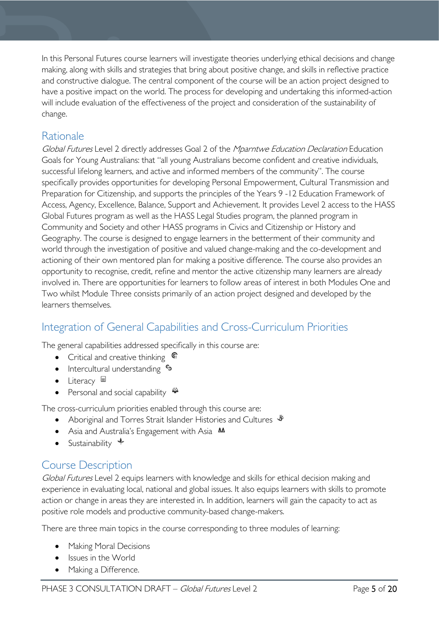In this Personal Futures course learners will investigate theories underlying ethical decisions and change making, along with skills and strategies that bring about positive change, and skills in reflective practice and constructive dialogue. The central component of the course will be an action project designed to have a positive impact on the world. The process for developing and undertaking this informed-action will include evaluation of the effectiveness of the project and consideration of the sustainability of change.

# <span id="page-4-0"></span>Rationale

Global Futures Level 2 directly addresses Goal 2 of the Mparntwe Education Declaration Education Goals for Young Australians: that "all young Australians become confident and creative individuals, successful lifelong learners, and active and informed members of the community". The course specifically provides opportunities for developing Personal Empowerment, Cultural Transmission and Preparation for Citizenship, and supports the principles of the Years 9 -12 Education Framework of Access, Agency, Excellence, Balance, Support and Achievement. It provides Level 2 access to the HASS Global Futures program as well as the HASS Legal Studies program, the planned program in Community and Society and other HASS programs in Civics and Citizenship or History and Geography. The course is designed to engage learners in the betterment of their community and world through the investigation of positive and valued change-making and the co-development and actioning of their own mentored plan for making a positive difference. The course also provides an opportunity to recognise, credit, refine and mentor the active citizenship many learners are already involved in. There are opportunities for learners to follow areas of interest in both Modules One and Two whilst Module Three consists primarily of an action project designed and developed by the learners themselves.

# <span id="page-4-1"></span>Integration of General Capabilities and Cross-Curriculum Priorities

The general capabilities addressed specifically in this course are:

- Critical and creative thinking  $\mathbb{C}$
- Intercultural understanding  $\frac{c_3}{b_1}$
- Literacy
- Personal and social capability

The cross-curriculum priorities enabled through this course are:

- Aboriginal and Torres Strait Islander Histories and Cultures  $\mathscr W$
- Asia and Australia's Engagement with Asia **AA**
- Sustainability  $\triangleleft$

# <span id="page-4-2"></span>Course Description

Global Futures Level 2 equips learners with knowledge and skills for ethical decision making and experience in evaluating local, national and global issues. It also equips learners with skills to promote action or change in areas they are interested in. In addition, learners will gain the capacity to act as positive role models and productive community-based change-makers.

There are three main topics in the course corresponding to three modules of learning:

- Making Moral Decisions
- Issues in the World
- Making a Difference.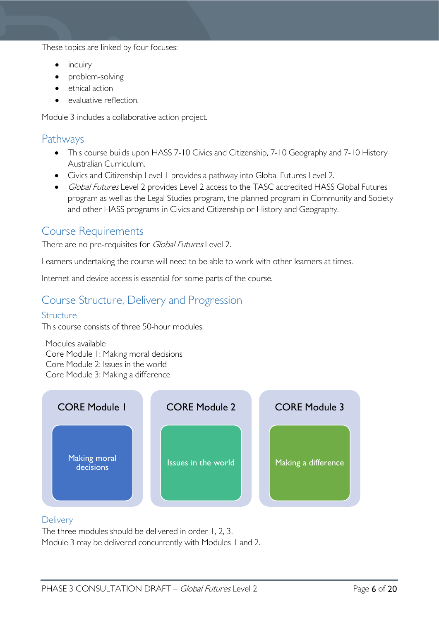These topics are linked by four focuses:

- inquiry
- problem-solving
- ethical action
- evaluative reflection

Module 3 includes a collaborative action project.

### <span id="page-5-0"></span>Pathways

- This course builds upon HASS 7-10 Civics and Citizenship, 7-10 Geography and 7-10 History Australian Curriculum.
- Civics and Citizenship Level 1 provides a pathway into Global Futures Level 2.
- Global Futures Level 2 provides Level 2 access to the TASC accredited HASS Global Futures program as well as the Legal Studies program, the planned program in Community and Society and other HASS programs in Civics and Citizenship or History and Geography.

### <span id="page-5-1"></span>Course Requirements

There are no pre-requisites for *Global Futures* Level 2.

Learners undertaking the course will need to be able to work with other learners at times.

Internet and device access is essential for some parts of the course.

# <span id="page-5-2"></span>Course Structure, Delivery and Progression

#### <span id="page-5-3"></span>**Structure**

This course consists of three 50-hour modules.

Modules available Core Module 1: Making moral decisions Core Module 2: Issues in the world Core Module 3: Making a difference



#### <span id="page-5-4"></span>**Delivery**

The three modules should be delivered in order 1, 2, 3. Module 3 may be delivered concurrently with Modules 1 and 2.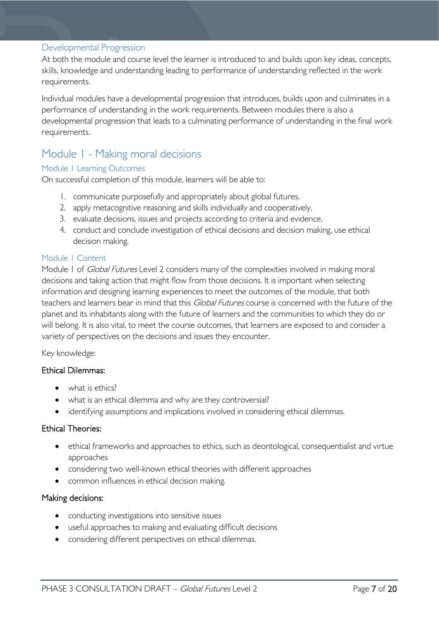#### <span id="page-6-0"></span>Developmental Progression

At both the module and course level the learner is introduced to and builds upon key ideas, concepts, skills, knowledge and understanding leading to performance of understanding reflected in the work requirements.

Individual modules have a developmental progression that introduces, builds upon and culminates in a performance of understanding in the work requirements. Between modules there is also a developmental progression that leads to a culminating performance of understanding in the final work requirements.

### <span id="page-6-1"></span>Module 1 - Making moral decisions

#### <span id="page-6-2"></span>Module 1 Learning Outcomes

On successful completion of this module, learners will be able to:

- 1. communicate purposefully and appropriately about global futures.
- 2. apply metacognitive reasoning and skills individually and cooperatively.
- 3. evaluate decisions, issues and projects according to criteria and evidence.
- 4. conduct and conclude investigation of ethical decisions and decision making, use ethical decision making.

#### <span id="page-6-3"></span>Module 1 Content

Module 1 of *Global Futures* Level 2 considers many of the complexities involved in making moral decisions and taking action that might flow from those decisions. It is important when selecting information and designing learning experiences to meet the outcomes of the module, that both teachers and learners bear in mind that this Global Futures course is concerned with the future of the planet and its inhabitants along with the future of learners and the communities to which they do or will belong. It is also vital, to meet the course outcomes, that learners are exposed to and consider a variety of perspectives on the decisions and issues they encounter.

#### Key knowledge:

#### Ethical Dilemmas:

- what is ethics?
- what is an ethical dilemma and why are they controversial?
- identifying assumptions and implications involved in considering ethical dilemmas.

#### Ethical Theories:

- ethical frameworks and approaches to ethics, such as deontological, consequentialist and virtue approaches
- considering two well-known ethical theories with different approaches
- common influences in ethical decision making.

#### Making decisions:

- conducting investigations into sensitive issues
- useful approaches to making and evaluating difficult decisions
- considering different perspectives on ethical dilemmas.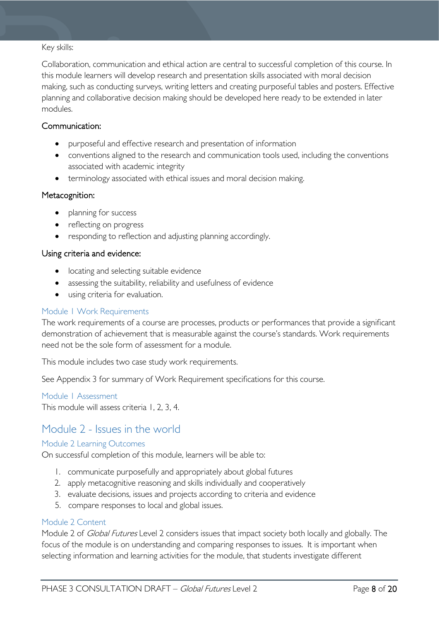#### Key skills:

Collaboration, communication and ethical action are central to successful completion of this course. In this module learners will develop research and presentation skills associated with moral decision making, such as conducting surveys, writing letters and creating purposeful tables and posters. Effective planning and collaborative decision making should be developed here ready to be extended in later modules.

#### Communication:

- purposeful and effective research and presentation of information
- conventions aligned to the research and communication tools used, including the conventions associated with academic integrity
- terminology associated with ethical issues and moral decision making.

#### Metacognition:

- planning for success
- reflecting on progress
- responding to reflection and adjusting planning accordingly.

#### Using criteria and evidence:

- locating and selecting suitable evidence
- assessing the suitability, reliability and usefulness of evidence
- using criteria for evaluation.

#### <span id="page-7-0"></span>Module 1 Work Requirements

The work requirements of a course are processes, products or performances that provide a significant demonstration of achievement that is measurable against the course's standards. Work requirements need not be the sole form of assessment for a module.

This module includes two case study work requirements.

See Appendix 3 for summary of Work Requirement specifications for this course.

#### <span id="page-7-1"></span>Module 1 Assessment

This module will assess criteria 1, 2, 3, 4.

### <span id="page-7-2"></span>Module 2 - Issues in the world

#### <span id="page-7-3"></span>Module 2 Learning Outcomes

On successful completion of this module, learners will be able to:

- 1. communicate purposefully and appropriately about global futures
- 2. apply metacognitive reasoning and skills individually and cooperatively
- 3. evaluate decisions, issues and projects according to criteria and evidence
- 5. compare responses to local and global issues.

#### <span id="page-7-4"></span>Module 2 Content

Module 2 of *Global Futures* Level 2 considers issues that impact society both locally and globally. The focus of the module is on understanding and comparing responses to issues. It is important when selecting information and learning activities for the module, that students investigate different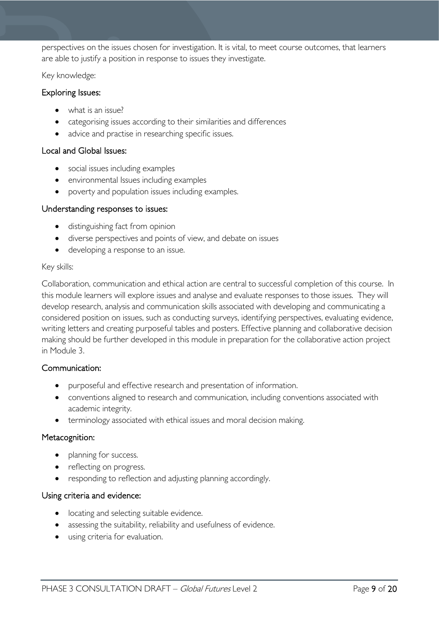perspectives on the issues chosen for investigation. It is vital, to meet course outcomes, that learners are able to justify a position in response to issues they investigate.

Key knowledge:

#### Exploring Issues:

- what is an issue?
- categorising issues according to their similarities and differences
- advice and practise in researching specific issues.

#### Local and Global Issues:

- social issues including examples
- environmental Issues including examples
- poverty and population issues including examples.

#### Understanding responses to issues:

- distinguishing fact from opinion
- diverse perspectives and points of view, and debate on issues
- developing a response to an issue.

#### Key skills:

Collaboration, communication and ethical action are central to successful completion of this course. In this module learners will explore issues and analyse and evaluate responses to those issues. They will develop research, analysis and communication skills associated with developing and communicating a considered position on issues, such as conducting surveys, identifying perspectives, evaluating evidence, writing letters and creating purposeful tables and posters. Effective planning and collaborative decision making should be further developed in this module in preparation for the collaborative action project in Module 3.

#### Communication:

- purposeful and effective research and presentation of information.
- conventions aligned to research and communication, including conventions associated with academic integrity.
- terminology associated with ethical issues and moral decision making.

#### Metacognition:

- planning for success.
- reflecting on progress.
- responding to reflection and adjusting planning accordingly.

#### Using criteria and evidence:

- locating and selecting suitable evidence.
- assessing the suitability, reliability and usefulness of evidence.
- using criteria for evaluation.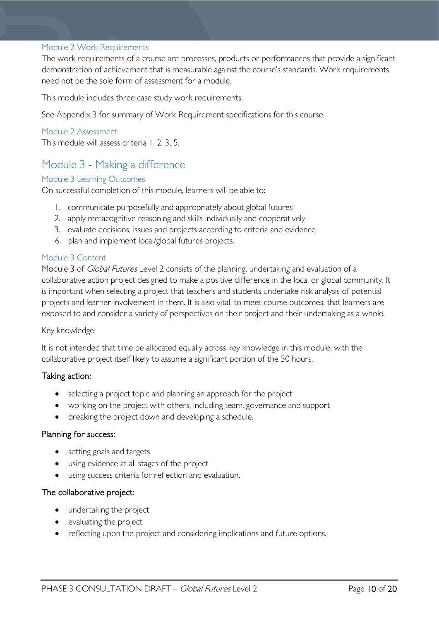#### <span id="page-9-0"></span>Module 2 Work Requirements

The work requirements of a course are processes, products or performances that provide a significant demonstration of achievement that is measurable against the course's standards. Work requirements need not be the sole form of assessment for a module.

This module includes three case study work requirements.

See Appendix 3 for summary of Work Requirement specifications for this course.

#### <span id="page-9-1"></span>Module 2 Assessment

This module will assess criteria 1, 2, 3, 5.

# <span id="page-9-2"></span>Module 3 - Making a difference

#### <span id="page-9-3"></span>Module 3 Learning Outcomes

On successful completion of this module, learners will be able to:

- 1. communicate purposefully and appropriately about global futures
- 2. apply metacognitive reasoning and skills individually and cooperatively
- 3. evaluate decisions, issues and projects according to criteria and evidence
- 6. plan and implement local/global futures projects.

#### <span id="page-9-4"></span>Module 3 Content

Module 3 of *Global Futures* Level 2 consists of the planning, undertaking and evaluation of a collaborative action project designed to make a positive difference in the local or global community. It is important when selecting a project that teachers and students undertake risk analysis of potential projects and learner involvement in them. It is also vital, to meet course outcomes, that learners are exposed to and consider a variety of perspectives on their project and their undertaking as a whole.

#### Key knowledge:

It is not intended that time be allocated equally across key knowledge in this module, with the collaborative project itself likely to assume a significant portion of the 50 hours.

#### Taking action:

- selecting a project topic and planning an approach for the project
- working on the project with others, including team, governance and support
- breaking the project down and developing a schedule.

#### Planning for success:

- setting goals and targets
- using evidence at all stages of the project
- using success criteria for reflection and evaluation.

#### The collaborative project:

- undertaking the project
- evaluating the project
- reflecting upon the project and considering implications and future options.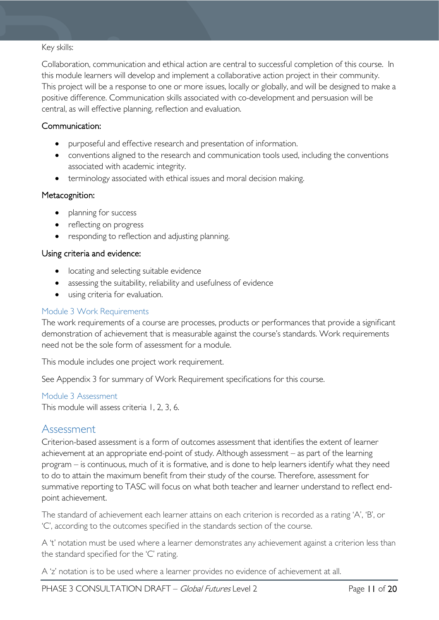#### Key skills:

Collaboration, communication and ethical action are central to successful completion of this course. In this module learners will develop and implement a collaborative action project in their community. This project will be a response to one or more issues, locally or globally, and will be designed to make a positive difference. Communication skills associated with co-development and persuasion will be central, as will effective planning, reflection and evaluation.

#### Communication:

- purposeful and effective research and presentation of information.
- conventions aligned to the research and communication tools used, including the conventions associated with academic integrity.
- terminology associated with ethical issues and moral decision making.

#### Metacognition:

- planning for success
- reflecting on progress
- responding to reflection and adjusting planning.

#### Using criteria and evidence:

- locating and selecting suitable evidence
- assessing the suitability, reliability and usefulness of evidence
- using criteria for evaluation.

#### <span id="page-10-0"></span>Module 3 Work Requirements

The work requirements of a course are processes, products or performances that provide a significant demonstration of achievement that is measurable against the course's standards. Work requirements need not be the sole form of assessment for a module.

This module includes one project work requirement.

See Appendix 3 for summary of Work Requirement specifications for this course.

#### <span id="page-10-1"></span>Module 3 Assessment

This module will assess criteria 1, 2, 3, 6.

#### <span id="page-10-2"></span>Assessment

Criterion-based assessment is a form of outcomes assessment that identifies the extent of learner achievement at an appropriate end-point of study. Although assessment – as part of the learning program – is continuous, much of it is formative, and is done to help learners identify what they need to do to attain the maximum benefit from their study of the course. Therefore, assessment for summative reporting to TASC will focus on what both teacher and learner understand to reflect endpoint achievement.

The standard of achievement each learner attains on each criterion is recorded as a rating 'A', 'B', or 'C', according to the outcomes specified in the standards section of the course.

A 't' notation must be used where a learner demonstrates any achievement against a criterion less than the standard specified for the 'C' rating.

A 'z' notation is to be used where a learner provides no evidence of achievement at all.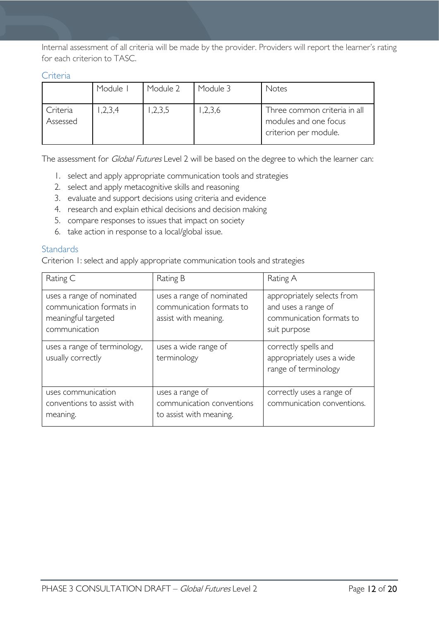Internal assessment of all criteria will be made by the provider. Providers will report the learner's rating for each criterion to TASC.

<span id="page-11-0"></span>

|  | ٠r |  |
|--|----|--|
|  |    |  |

|                      | Module  | Module 2 | Module 3 | Notes                                                                          |
|----------------------|---------|----------|----------|--------------------------------------------------------------------------------|
| Criteria<br>Assessed | 1,2,3,4 | ,2,3,5   | ,2,3,6   | Three common criteria in all<br>modules and one focus<br>criterion per module. |

The assessment for *Global Futures* Level 2 will be based on the degree to which the learner can:

- 1. select and apply appropriate communication tools and strategies
- 2. select and apply metacognitive skills and reasoning
- 3. evaluate and support decisions using criteria and evidence
- 4. research and explain ethical decisions and decision making
- 5. compare responses to issues that impact on society
- 6. take action in response to a local/global issue.

#### <span id="page-11-1"></span>**Standards**

Criterion 1: select and apply appropriate communication tools and strategies

| Rating C                                                                                      | Rating B                                                                      | Rating A                                                                                      |
|-----------------------------------------------------------------------------------------------|-------------------------------------------------------------------------------|-----------------------------------------------------------------------------------------------|
| uses a range of nominated<br>communication formats in<br>meaningful targeted<br>communication | uses a range of nominated<br>communication formats to<br>assist with meaning. | appropriately selects from<br>and uses a range of<br>communication formats to<br>suit purpose |
| uses a range of terminology,<br>usually correctly                                             | uses a wide range of<br>terminology                                           | correctly spells and<br>appropriately uses a wide<br>range of terminology                     |
| uses communication<br>conventions to assist with<br>meaning.                                  | uses a range of<br>communication conventions<br>to assist with meaning.       | correctly uses a range of<br>communication conventions.                                       |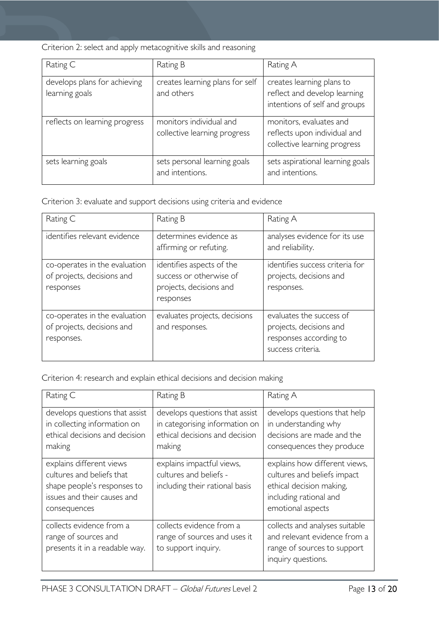|  | Criterion 2: select and apply metacognitive skills and reasoning |  |
|--|------------------------------------------------------------------|--|
|  |                                                                  |  |
|  |                                                                  |  |

| Rating C                                       | Rating B                                                | Rating A                                                                                   |
|------------------------------------------------|---------------------------------------------------------|--------------------------------------------------------------------------------------------|
| develops plans for achieving<br>learning goals | creates learning plans for self<br>and others           | creates learning plans to<br>reflect and develop learning<br>intentions of self and groups |
| reflects on learning progress                  | monitors individual and<br>collective learning progress | monitors, evaluates and<br>reflects upon individual and<br>collective learning progress    |
| sets learning goals                            | sets personal learning goals<br>and intentions.         | sets aspirational learning goals<br>and intentions.                                        |

Criterion 3: evaluate and support decisions using criteria and evidence

| Rating C                                                                  | Rating B                                                                                     | Rating A                                                                                           |
|---------------------------------------------------------------------------|----------------------------------------------------------------------------------------------|----------------------------------------------------------------------------------------------------|
| identifies relevant evidence                                              | determines evidence as<br>affirming or refuting.                                             | analyses evidence for its use<br>and reliability.                                                  |
| co-operates in the evaluation<br>of projects, decisions and<br>responses  | identifies aspects of the<br>success or otherwise of<br>projects, decisions and<br>responses | identifies success criteria for<br>projects, decisions and<br>responses.                           |
| co-operates in the evaluation<br>of projects, decisions and<br>responses. | evaluates projects, decisions<br>and responses.                                              | evaluates the success of<br>projects, decisions and<br>responses according to<br>success criteria. |

Criterion 4: research and explain ethical decisions and decision making

| Rating C                                                                                                                            | Rating B                                                                                                     | Rating A                                                                                                                                |
|-------------------------------------------------------------------------------------------------------------------------------------|--------------------------------------------------------------------------------------------------------------|-----------------------------------------------------------------------------------------------------------------------------------------|
| develops questions that assist<br>in collecting information on<br>ethical decisions and decision<br>making                          | develops questions that assist<br>in categorising information on<br>ethical decisions and decision<br>making | develops questions that help<br>in understanding why<br>decisions are made and the<br>consequences they produce                         |
| explains different views<br>cultures and beliefs that<br>shape people's responses to<br>issues and their causes and<br>consequences | explains impactful views,<br>cultures and beliefs -<br>including their rational basis                        | explains how different views,<br>cultures and beliefs impact<br>ethical decision making,<br>including rational and<br>emotional aspects |
| collects evidence from a<br>range of sources and<br>presents it in a readable way.                                                  | collects evidence from a<br>range of sources and uses it<br>to support inquiry.                              | collects and analyses suitable<br>and relevant evidence from a<br>range of sources to support<br>inquiry questions.                     |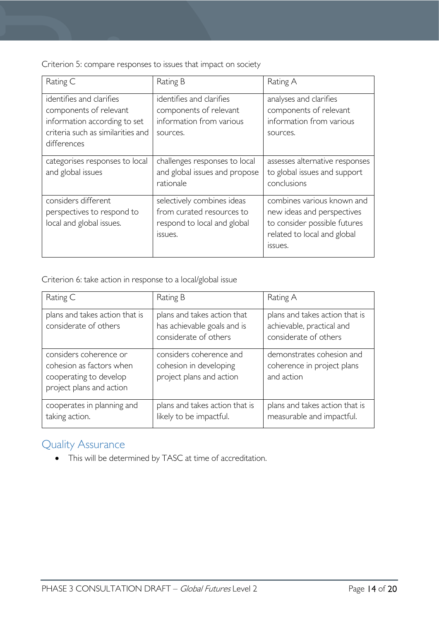Criterion 5: compare responses to issues that impact on society

| Rating C                                                                                                                               | Rating B                                                                                          | Rating A                                                                                                                                  |
|----------------------------------------------------------------------------------------------------------------------------------------|---------------------------------------------------------------------------------------------------|-------------------------------------------------------------------------------------------------------------------------------------------|
| identifies and clarifies<br>components of relevant<br>information according to set<br>criteria such as similarities and<br>differences | identifies and clarifies<br>components of relevant<br>information from various<br>sources.        | analyses and clarifies<br>components of relevant<br>information from various<br>sources.                                                  |
| categorises responses to local<br>and global issues                                                                                    | challenges responses to local<br>and global issues and propose<br>rationale                       | assesses alternative responses<br>to global issues and support<br>conclusions                                                             |
| considers different<br>perspectives to respond to<br>local and global issues.                                                          | selectively combines ideas<br>from curated resources to<br>respond to local and global<br>issues. | combines various known and<br>new ideas and perspectives<br>to consider possible futures<br>related to local and global<br><b>ISSUES.</b> |

Criterion 6: take action in response to a local/global issue

| Rating C                                                                                                 | Rating B                                                                            | Rating A                                                                             |
|----------------------------------------------------------------------------------------------------------|-------------------------------------------------------------------------------------|--------------------------------------------------------------------------------------|
| plans and takes action that is<br>considerate of others                                                  | plans and takes action that<br>has achievable goals and is<br>considerate of others | plans and takes action that is<br>achievable, practical and<br>considerate of others |
| considers coherence or<br>cohesion as factors when<br>cooperating to develop<br>project plans and action | considers coherence and<br>cohesion in developing<br>project plans and action       | demonstrates cohesion and<br>coherence in project plans<br>and action                |
| cooperates in planning and<br>taking action.                                                             | plans and takes action that is<br>likely to be impactful.                           | plans and takes action that is<br>measurable and impactful.                          |

# <span id="page-13-0"></span>Quality Assurance

• This will be determined by TASC at time of accreditation.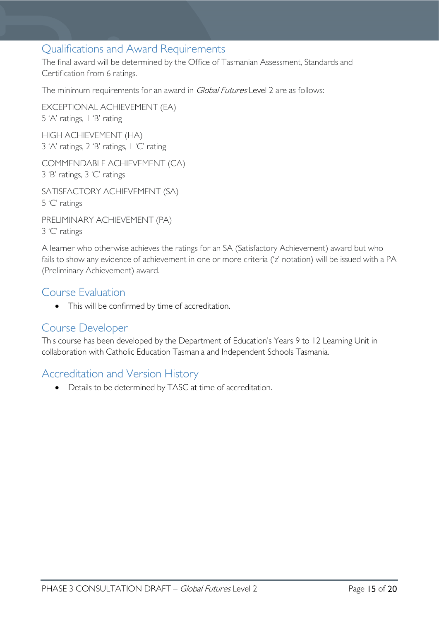### <span id="page-14-0"></span>Qualifications and Award Requirements

The final award will be determined by the Office of Tasmanian Assessment, Standards and Certification from 6 ratings.

The minimum requirements for an award in *Global Futures* Level 2 are as follows:

EXCEPTIONAL ACHIEVEMENT (EA) 5 'A' ratings, 1 'B' rating HIGH ACHIEVEMENT (HA) 3 'A' ratings, 2 'B' ratings, 1 'C' rating

COMMENDABLE ACHIEVEMENT (CA) 3 'B' ratings, 3 'C' ratings

SATISFACTORY ACHIEVEMENT (SA) 5 'C' ratings

PRELIMINARY ACHIEVEMENT (PA) 3 'C' ratings

A learner who otherwise achieves the ratings for an SA (Satisfactory Achievement) award but who fails to show any evidence of achievement in one or more criteria ('z' notation) will be issued with a PA (Preliminary Achievement) award.

### <span id="page-14-1"></span>Course Evaluation

• This will be confirmed by time of accreditation.

### <span id="page-14-2"></span>Course Developer

This course has been developed by the Department of Education's Years 9 to 12 Learning Unit in collaboration with Catholic Education Tasmania and Independent Schools Tasmania.

### <span id="page-14-3"></span>Accreditation and Version History

• Details to be determined by TASC at time of accreditation.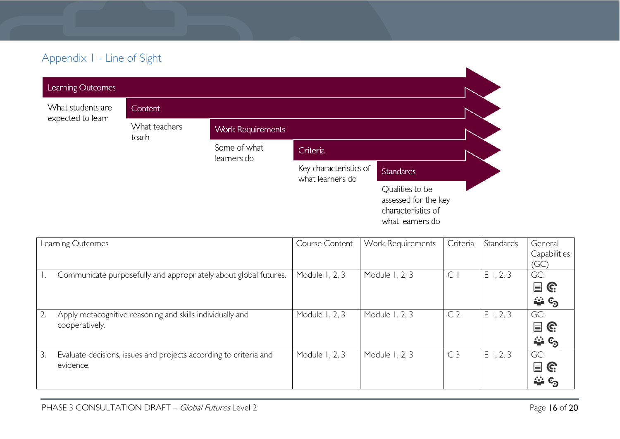# Appendix 1 - Line of Sight

| Learning Outcomes          |               |                             |                                            |                                                                                   |
|----------------------------|---------------|-----------------------------|--------------------------------------------|-----------------------------------------------------------------------------------|
| What students are          | Content       |                             |                                            |                                                                                   |
| expected to learn<br>teach | What teachers | <b>Work Requirements</b>    |                                            |                                                                                   |
|                            |               | Some of what<br>learners do | Criteria                                   |                                                                                   |
|                            |               |                             | Key characteristics of<br>what learners do | <b>Standards</b>                                                                  |
|                            |               |                             |                                            | Qualities to be<br>assessed for the key<br>characteristics of<br>what learners do |

<span id="page-15-0"></span>

| Learning Outcomes |                                                                   | Course Content | Work Requirements | Criteria       | Standards | General                       |
|-------------------|-------------------------------------------------------------------|----------------|-------------------|----------------|-----------|-------------------------------|
|                   |                                                                   |                |                   |                |           | Capabilities<br>(GC)          |
|                   | Communicate purposefully and appropriately about global futures.  | Module 1, 2, 3 | Module 1, 2, 3    | $\subset$      | E1, 2, 3  | GC:                           |
|                   |                                                                   |                |                   |                |           | $\blacksquare$ G              |
|                   |                                                                   |                |                   |                |           | ే లే                          |
| 2.                | Apply metacognitive reasoning and skills individually and         | Module 1, 2, 3 | Module 1, 2, 3    | C <sub>2</sub> | E1, 2, 3  | GC:                           |
|                   | cooperatively.                                                    |                |                   |                |           | $\mathbf{r} \in \mathbb{C}^2$ |
|                   |                                                                   |                |                   |                |           | ే లే                          |
| 3.                | Evaluate decisions, issues and projects according to criteria and | Module 1, 2, 3 | Module 1, 2, 3    | C <sub>3</sub> | E1, 2, 3  | GC:                           |
|                   | evidence.                                                         |                |                   |                |           | $\mathbf{r} \in \mathbb{R}^n$ |
|                   |                                                                   |                |                   |                |           | $\rightarrow c_2$             |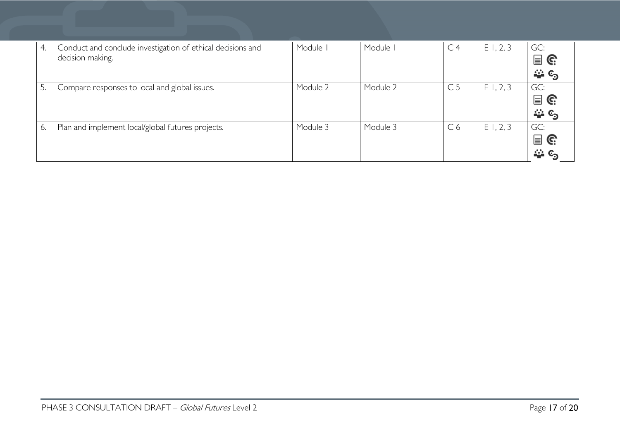| 4. | Conduct and conclude investigation of ethical decisions and<br>decision making. | Module I | Module I | C <sub>4</sub> | E1, 2, 3 | GC:<br>$\blacksquare$ G<br>ే లే |
|----|---------------------------------------------------------------------------------|----------|----------|----------------|----------|---------------------------------|
|    | Compare responses to local and global issues.                                   | Module 2 | Module 2 | C <sub>5</sub> | E1, 2, 3 | GC:<br>$\blacksquare$ G<br>ే లే |
| 6. | Plan and implement local/global futures projects.                               | Module 3 | Module 3 | C <sub>6</sub> | E1, 2, 3 | GC:<br>$\blacksquare$ G<br>—ు ⊙ |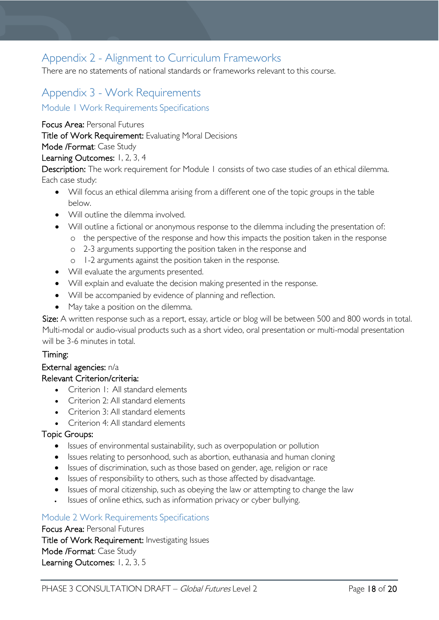# <span id="page-17-0"></span>Appendix 2 - Alignment to Curriculum Frameworks

There are no statements of national standards or frameworks relevant to this course.

# <span id="page-17-1"></span>Appendix 3 - Work Requirements

<span id="page-17-2"></span>Module <sup>1</sup> Work Requirements Specifications

Focus Area: Personal Futures

Title of Work Requirement: Evaluating Moral Decisions

Mode /Format: Case Study

#### Learning Outcomes: 1, 2, 3, 4

Description: The work requirement for Module 1 consists of two case studies of an ethical dilemma. Each case study:

- Will focus an ethical dilemma arising from a different one of the topic groups in the table below.
- Will outline the dilemma involved.
- Will outline a fictional or anonymous response to the dilemma including the presentation of:
	- o the perspective of the response and how this impacts the position taken in the response
	- o 2-3 arguments supporting the position taken in the response and
	- o 1-2 arguments against the position taken in the response.
- Will evaluate the arguments presented.
- Will explain and evaluate the decision making presented in the response.
- Will be accompanied by evidence of planning and reflection.
- May take a position on the dilemma.

Size: A written response such as a report, essay, article or blog will be between 500 and 800 words in total. Multi-modal or audio-visual products such as a short video, oral presentation or multi-modal presentation will be 3-6 minutes in total.

#### Timing:

#### External agencies: n/a

#### Relevant Criterion/criteria:

- Criterion 1: All standard elements
- Criterion 2: All standard elements
- Criterion 3: All standard elements
- Criterion 4: All standard elements

#### Topic Groups:

- Issues of environmental sustainability, such as overpopulation or pollution
- Issues relating to personhood, such as abortion, euthanasia and human cloning
- Issues of discrimination, such as those based on gender, age, religion or race
- Issues of responsibility to others, such as those affected by disadvantage.
- Issues of moral citizenship, such as obeying the law or attempting to change the law
- Issues of online ethics, such as information privacy or cyber bullying.

#### <span id="page-17-3"></span>Module 2 Work Requirements Specifications

Focus Area: Personal Futures Title of Work Requirement: Investigating Issues Mode /Format: Case Study Learning Outcomes: 1, 2, 3, 5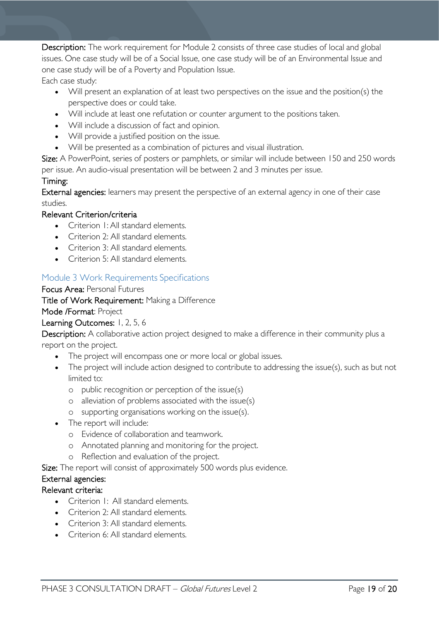Description: The work requirement for Module 2 consists of three case studies of local and global issues. One case study will be of a Social Issue, one case study will be of an Environmental Issue and one case study will be of a Poverty and Population Issue.

Each case study:

- Will present an explanation of at least two perspectives on the issue and the position(s) the perspective does or could take.
- Will include at least one refutation or counter argument to the positions taken.
- Will include a discussion of fact and opinion.
- Will provide a justified position on the issue.
- Will be presented as a combination of pictures and visual illustration.

Size: A PowerPoint, series of posters or pamphlets, or similar will include between 150 and 250 words per issue. An audio-visual presentation will be between 2 and 3 minutes per issue.

### Timing:

External agencies: learners may present the perspective of an external agency in one of their case studies.

#### Relevant Criterion/criteria

- Criterion 1: All standard elements.
- Criterion 2: All standard elements.
- Criterion 3: All standard elements.
- Criterion 5: All standard elements

### <span id="page-18-0"></span>Module 3 Work Requirements Specifications

#### Focus Area: Personal Futures

Title of Work Requirement: Making a Difference

#### Mode /Format: Project

#### Learning Outcomes: 1, 2, 5, 6

Description: A collaborative action project designed to make a difference in their community plus a report on the project.

- The project will encompass one or more local or global issues.
- The project will include action designed to contribute to addressing the issue(s), such as but not limited to:
	- o public recognition or perception of the issue(s)
	- o alleviation of problems associated with the issue(s)
	- o supporting organisations working on the issue(s).
- The report will include:
	- o Evidence of collaboration and teamwork.
	- o Annotated planning and monitoring for the project.
	- o Reflection and evaluation of the project.

Size: The report will consist of approximately 500 words plus evidence.

#### External agencies:

#### Relevant criteria:

- Criterion I: All standard elements.
- Criterion 2: All standard elements.
- Criterion 3: All standard elements
- Criterion 6: All standard elements.